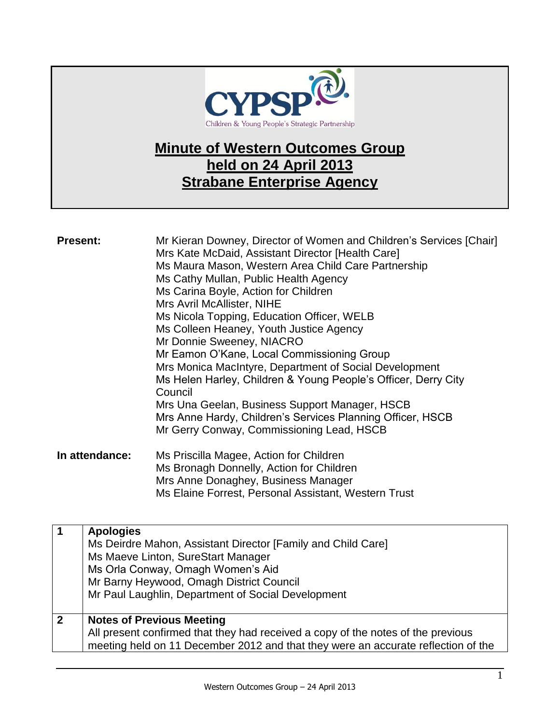

## **Minute of Western Outcomes Group held on 24 April 2013 Strabane Enterprise Agency**

| <b>Present:</b> | Mr Kieran Downey, Director of Women and Children's Services [Chair]<br>Mrs Kate McDaid, Assistant Director [Health Care]<br>Ms Maura Mason, Western Area Child Care Partnership<br>Ms Cathy Mullan, Public Health Agency<br>Ms Carina Boyle, Action for Children<br>Mrs Avril McAllister, NIHE<br>Ms Nicola Topping, Education Officer, WELB<br>Ms Colleen Heaney, Youth Justice Agency<br>Mr Donnie Sweeney, NIACRO<br>Mr Eamon O'Kane, Local Commissioning Group<br>Mrs Monica MacIntyre, Department of Social Development<br>Ms Helen Harley, Children & Young People's Officer, Derry City<br>Council<br>Mrs Una Geelan, Business Support Manager, HSCB<br>Mrs Anne Hardy, Children's Services Planning Officer, HSCB<br>Mr Gerry Conway, Commissioning Lead, HSCB |
|-----------------|------------------------------------------------------------------------------------------------------------------------------------------------------------------------------------------------------------------------------------------------------------------------------------------------------------------------------------------------------------------------------------------------------------------------------------------------------------------------------------------------------------------------------------------------------------------------------------------------------------------------------------------------------------------------------------------------------------------------------------------------------------------------|
| In attendance:  | Ms Priscilla Magee, Action for Children<br>Ms Bronagh Donnelly, Action for Children<br>Mrs Anne Donaghey, Business Manager<br>Ms Elaine Forrest, Personal Assistant, Western Trust                                                                                                                                                                                                                                                                                                                                                                                                                                                                                                                                                                                     |

|              | <b>Apologies</b><br>Ms Deirdre Mahon, Assistant Director [Family and Child Care]<br>Ms Maeve Linton, SureStart Manager<br>Ms Orla Conway, Omagh Women's Aid<br>Mr Barny Heywood, Omagh District Council<br>Mr Paul Laughlin, Department of Social Development |
|--------------|---------------------------------------------------------------------------------------------------------------------------------------------------------------------------------------------------------------------------------------------------------------|
| $\mathbf{2}$ | <b>Notes of Previous Meeting</b><br>All present confirmed that they had received a copy of the notes of the previous<br>meeting held on 11 December 2012 and that they were an accurate reflection of the                                                     |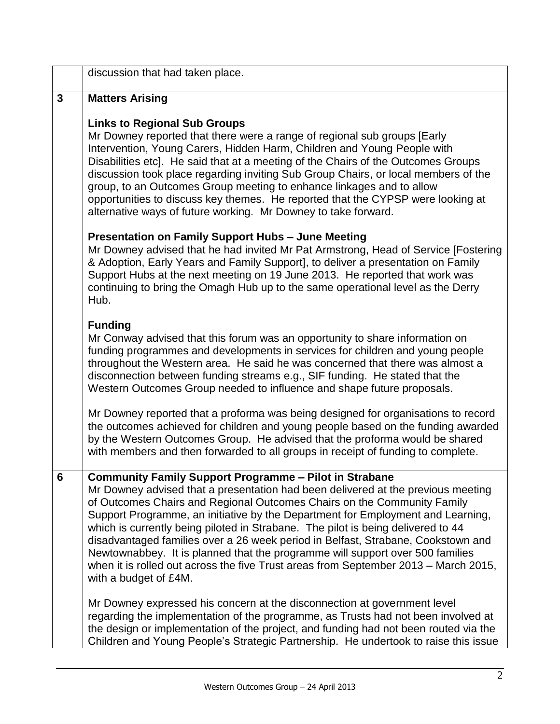|                | discussion that had taken place.                                                                                                                                                                                                                                                                                                                                                                                                                                                                                                                                                                                                                                                         |
|----------------|------------------------------------------------------------------------------------------------------------------------------------------------------------------------------------------------------------------------------------------------------------------------------------------------------------------------------------------------------------------------------------------------------------------------------------------------------------------------------------------------------------------------------------------------------------------------------------------------------------------------------------------------------------------------------------------|
| $\overline{3}$ | <b>Matters Arising</b>                                                                                                                                                                                                                                                                                                                                                                                                                                                                                                                                                                                                                                                                   |
|                | <b>Links to Regional Sub Groups</b><br>Mr Downey reported that there were a range of regional sub groups [Early<br>Intervention, Young Carers, Hidden Harm, Children and Young People with<br>Disabilities etc]. He said that at a meeting of the Chairs of the Outcomes Groups<br>discussion took place regarding inviting Sub Group Chairs, or local members of the<br>group, to an Outcomes Group meeting to enhance linkages and to allow<br>opportunities to discuss key themes. He reported that the CYPSP were looking at<br>alternative ways of future working. Mr Downey to take forward.                                                                                       |
|                | <b>Presentation on Family Support Hubs - June Meeting</b><br>Mr Downey advised that he had invited Mr Pat Armstrong, Head of Service [Fostering<br>& Adoption, Early Years and Family Support], to deliver a presentation on Family<br>Support Hubs at the next meeting on 19 June 2013. He reported that work was<br>continuing to bring the Omagh Hub up to the same operational level as the Derry<br>Hub.                                                                                                                                                                                                                                                                            |
|                | <b>Funding</b><br>Mr Conway advised that this forum was an opportunity to share information on<br>funding programmes and developments in services for children and young people<br>throughout the Western area. He said he was concerned that there was almost a<br>disconnection between funding streams e.g., SIF funding. He stated that the<br>Western Outcomes Group needed to influence and shape future proposals.                                                                                                                                                                                                                                                                |
|                | Mr Downey reported that a proforma was being designed for organisations to record<br>the outcomes achieved for children and young people based on the funding awarded<br>by the Western Outcomes Group. He advised that the proforma would be shared<br>with members and then forwarded to all groups in receipt of funding to complete.                                                                                                                                                                                                                                                                                                                                                 |
| 6              | <b>Community Family Support Programme - Pilot in Strabane</b><br>Mr Downey advised that a presentation had been delivered at the previous meeting<br>of Outcomes Chairs and Regional Outcomes Chairs on the Community Family<br>Support Programme, an initiative by the Department for Employment and Learning,<br>which is currently being piloted in Strabane. The pilot is being delivered to 44<br>disadvantaged families over a 26 week period in Belfast, Strabane, Cookstown and<br>Newtownabbey. It is planned that the programme will support over 500 families<br>when it is rolled out across the five Trust areas from September 2013 - March 2015,<br>with a budget of £4M. |
|                | Mr Downey expressed his concern at the disconnection at government level<br>regarding the implementation of the programme, as Trusts had not been involved at<br>the design or implementation of the project, and funding had not been routed via the<br>Children and Young People's Strategic Partnership. He undertook to raise this issue                                                                                                                                                                                                                                                                                                                                             |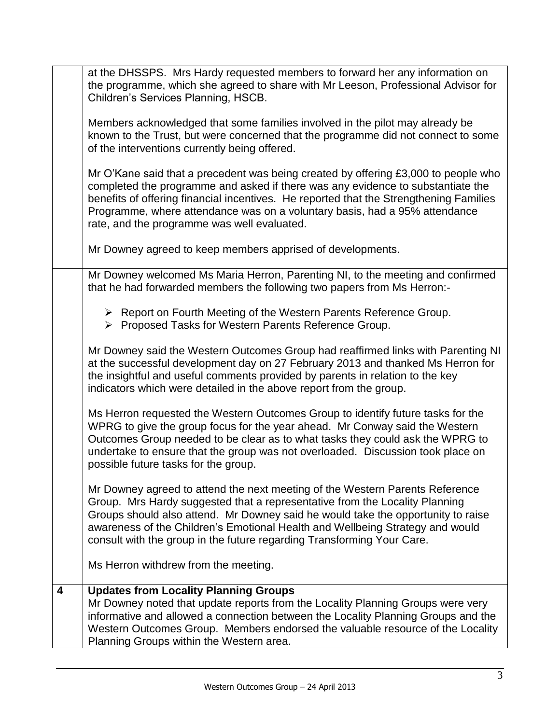|   | at the DHSSPS. Mrs Hardy requested members to forward her any information on<br>the programme, which she agreed to share with Mr Leeson, Professional Advisor for<br>Children's Services Planning, HSCB.                                                                                                                                                                                                   |
|---|------------------------------------------------------------------------------------------------------------------------------------------------------------------------------------------------------------------------------------------------------------------------------------------------------------------------------------------------------------------------------------------------------------|
|   | Members acknowledged that some families involved in the pilot may already be<br>known to the Trust, but were concerned that the programme did not connect to some<br>of the interventions currently being offered.                                                                                                                                                                                         |
|   | Mr O'Kane said that a precedent was being created by offering £3,000 to people who<br>completed the programme and asked if there was any evidence to substantiate the<br>benefits of offering financial incentives. He reported that the Strengthening Families<br>Programme, where attendance was on a voluntary basis, had a 95% attendance<br>rate, and the programme was well evaluated.               |
|   | Mr Downey agreed to keep members apprised of developments.                                                                                                                                                                                                                                                                                                                                                 |
|   | Mr Downey welcomed Ms Maria Herron, Parenting NI, to the meeting and confirmed<br>that he had forwarded members the following two papers from Ms Herron:-                                                                                                                                                                                                                                                  |
|   | $\triangleright$ Report on Fourth Meeting of the Western Parents Reference Group.<br>> Proposed Tasks for Western Parents Reference Group.                                                                                                                                                                                                                                                                 |
|   | Mr Downey said the Western Outcomes Group had reaffirmed links with Parenting NI<br>at the successful development day on 27 February 2013 and thanked Ms Herron for<br>the insightful and useful comments provided by parents in relation to the key<br>indicators which were detailed in the above report from the group.                                                                                 |
|   | Ms Herron requested the Western Outcomes Group to identify future tasks for the<br>WPRG to give the group focus for the year ahead. Mr Conway said the Western<br>Outcomes Group needed to be clear as to what tasks they could ask the WPRG to<br>undertake to ensure that the group was not overloaded. Discussion took place on<br>possible future tasks for the group.                                 |
|   | Mr Downey agreed to attend the next meeting of the Western Parents Reference<br>Group. Mrs Hardy suggested that a representative from the Locality Planning<br>Groups should also attend. Mr Downey said he would take the opportunity to raise<br>awareness of the Children's Emotional Health and Wellbeing Strategy and would<br>consult with the group in the future regarding Transforming Your Care. |
|   | Ms Herron withdrew from the meeting.                                                                                                                                                                                                                                                                                                                                                                       |
| 4 | <b>Updates from Locality Planning Groups</b><br>Mr Downey noted that update reports from the Locality Planning Groups were very<br>informative and allowed a connection between the Locality Planning Groups and the<br>Western Outcomes Group. Members endorsed the valuable resource of the Locality<br>Planning Groups within the Western area.                                                         |
|   |                                                                                                                                                                                                                                                                                                                                                                                                            |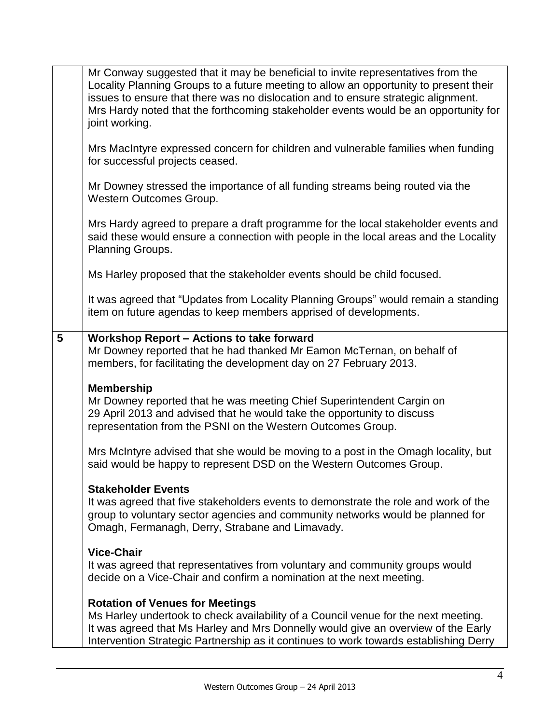|   | Mr Conway suggested that it may be beneficial to invite representatives from the<br>Locality Planning Groups to a future meeting to allow an opportunity to present their<br>issues to ensure that there was no dislocation and to ensure strategic alignment.<br>Mrs Hardy noted that the forthcoming stakeholder events would be an opportunity for<br>joint working.<br>Mrs MacIntyre expressed concern for children and vulnerable families when funding<br>for successful projects ceased.<br>Mr Downey stressed the importance of all funding streams being routed via the<br>Western Outcomes Group. |
|---|-------------------------------------------------------------------------------------------------------------------------------------------------------------------------------------------------------------------------------------------------------------------------------------------------------------------------------------------------------------------------------------------------------------------------------------------------------------------------------------------------------------------------------------------------------------------------------------------------------------|
|   | Mrs Hardy agreed to prepare a draft programme for the local stakeholder events and<br>said these would ensure a connection with people in the local areas and the Locality<br><b>Planning Groups.</b>                                                                                                                                                                                                                                                                                                                                                                                                       |
|   | Ms Harley proposed that the stakeholder events should be child focused.                                                                                                                                                                                                                                                                                                                                                                                                                                                                                                                                     |
|   | It was agreed that "Updates from Locality Planning Groups" would remain a standing<br>item on future agendas to keep members apprised of developments.                                                                                                                                                                                                                                                                                                                                                                                                                                                      |
| 5 | <b>Workshop Report - Actions to take forward</b><br>Mr Downey reported that he had thanked Mr Eamon McTernan, on behalf of<br>members, for facilitating the development day on 27 February 2013.                                                                                                                                                                                                                                                                                                                                                                                                            |
|   | <b>Membership</b><br>Mr Downey reported that he was meeting Chief Superintendent Cargin on<br>29 April 2013 and advised that he would take the opportunity to discuss<br>representation from the PSNI on the Western Outcomes Group.                                                                                                                                                                                                                                                                                                                                                                        |
|   | Mrs McIntyre advised that she would be moving to a post in the Omagh locality, but<br>said would be happy to represent DSD on the Western Outcomes Group.                                                                                                                                                                                                                                                                                                                                                                                                                                                   |
|   | <b>Stakeholder Events</b><br>It was agreed that five stakeholders events to demonstrate the role and work of the<br>group to voluntary sector agencies and community networks would be planned for<br>Omagh, Fermanagh, Derry, Strabane and Limavady.                                                                                                                                                                                                                                                                                                                                                       |
|   | <b>Vice-Chair</b><br>It was agreed that representatives from voluntary and community groups would<br>decide on a Vice-Chair and confirm a nomination at the next meeting.                                                                                                                                                                                                                                                                                                                                                                                                                                   |
|   | <b>Rotation of Venues for Meetings</b><br>Ms Harley undertook to check availability of a Council venue for the next meeting.<br>It was agreed that Ms Harley and Mrs Donnelly would give an overview of the Early<br>Intervention Strategic Partnership as it continues to work towards establishing Derry                                                                                                                                                                                                                                                                                                  |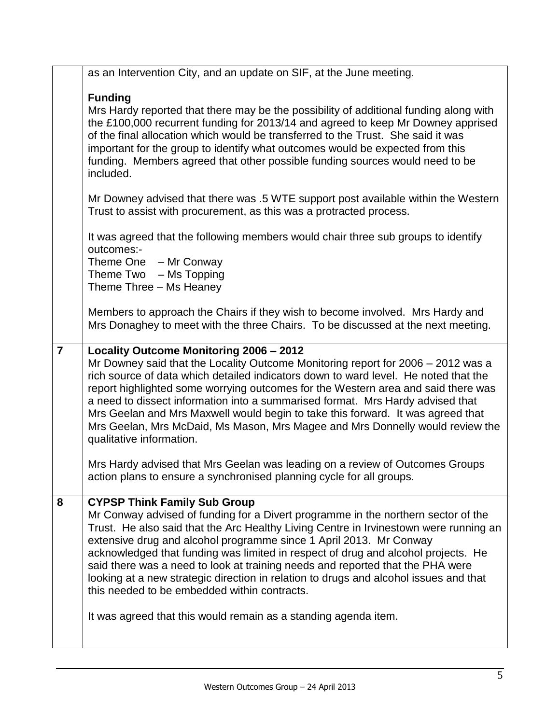| as an Intervention City, and an update on SIF, at the June meeting.                                                                                                                                                                                                                                                                                                                                                                                                                                                                                                                                                                                                        |
|----------------------------------------------------------------------------------------------------------------------------------------------------------------------------------------------------------------------------------------------------------------------------------------------------------------------------------------------------------------------------------------------------------------------------------------------------------------------------------------------------------------------------------------------------------------------------------------------------------------------------------------------------------------------------|
| <b>Funding</b><br>Mrs Hardy reported that there may be the possibility of additional funding along with<br>the £100,000 recurrent funding for 2013/14 and agreed to keep Mr Downey apprised<br>of the final allocation which would be transferred to the Trust. She said it was<br>important for the group to identify what outcomes would be expected from this<br>funding. Members agreed that other possible funding sources would need to be<br>included.                                                                                                                                                                                                              |
| Mr Downey advised that there was .5 WTE support post available within the Western<br>Trust to assist with procurement, as this was a protracted process.                                                                                                                                                                                                                                                                                                                                                                                                                                                                                                                   |
| It was agreed that the following members would chair three sub groups to identify<br>outcomes:-<br>Theme One – Mr Conway<br>Theme $Two - Ms$ Topping<br>Theme Three - Ms Heaney                                                                                                                                                                                                                                                                                                                                                                                                                                                                                            |
| Members to approach the Chairs if they wish to become involved. Mrs Hardy and<br>Mrs Donaghey to meet with the three Chairs. To be discussed at the next meeting.                                                                                                                                                                                                                                                                                                                                                                                                                                                                                                          |
| Locality Outcome Monitoring 2006 - 2012<br>Mr Downey said that the Locality Outcome Monitoring report for 2006 - 2012 was a<br>rich source of data which detailed indicators down to ward level. He noted that the<br>report highlighted some worrying outcomes for the Western area and said there was<br>a need to dissect information into a summarised format. Mrs Hardy advised that<br>Mrs Geelan and Mrs Maxwell would begin to take this forward. It was agreed that<br>Mrs Geelan, Mrs McDaid, Ms Mason, Mrs Magee and Mrs Donnelly would review the<br>qualitative information.                                                                                  |
| Mrs Hardy advised that Mrs Geelan was leading on a review of Outcomes Groups<br>action plans to ensure a synchronised planning cycle for all groups.                                                                                                                                                                                                                                                                                                                                                                                                                                                                                                                       |
| <b>CYPSP Think Family Sub Group</b><br>Mr Conway advised of funding for a Divert programme in the northern sector of the<br>Trust. He also said that the Arc Healthy Living Centre in Irvinestown were running an<br>extensive drug and alcohol programme since 1 April 2013. Mr Conway<br>acknowledged that funding was limited in respect of drug and alcohol projects. He<br>said there was a need to look at training needs and reported that the PHA were<br>looking at a new strategic direction in relation to drugs and alcohol issues and that<br>this needed to be embedded within contracts.<br>It was agreed that this would remain as a standing agenda item. |
|                                                                                                                                                                                                                                                                                                                                                                                                                                                                                                                                                                                                                                                                            |